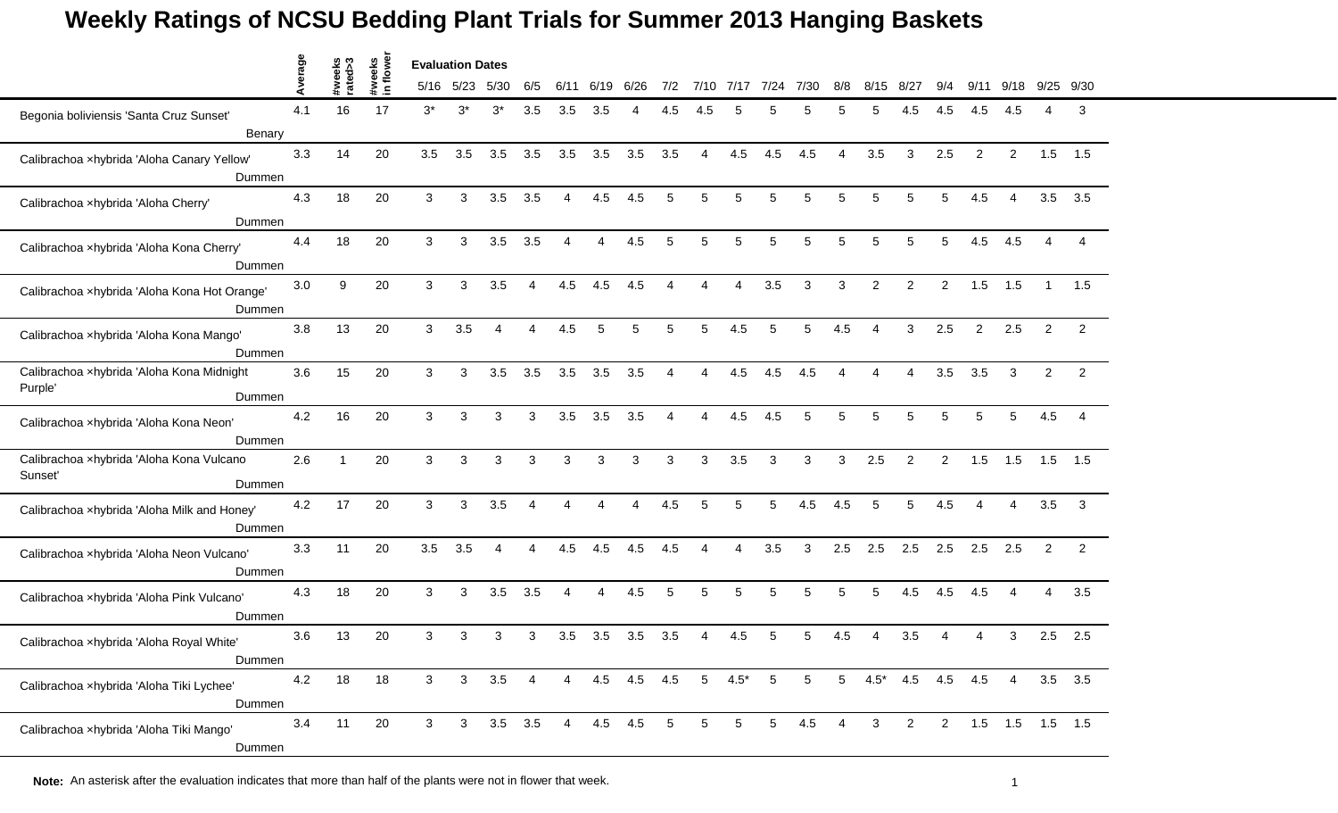|                                                        | verage |                   |                    | <b>Evaluation Dates</b> |                |                          |                |                |          |                  |                          |                |        |                 |                |                |                |                |                |                |                |                 |                |
|--------------------------------------------------------|--------|-------------------|--------------------|-------------------------|----------------|--------------------------|----------------|----------------|----------|------------------|--------------------------|----------------|--------|-----------------|----------------|----------------|----------------|----------------|----------------|----------------|----------------|-----------------|----------------|
|                                                        | ⋖      | #weeks<br>rated>3 | #weeks<br>in flowe |                         | 5/16 5/23      | 5/30                     | 6/5            | 6/11           | 6/<br>19 | 6/26             | 7/2                      | 7/10           | 7/17   | 7/24            | 7/30           | 8/8            | 8/15           | $8/2^-$        | 9/4            | 9/             | 9/18           | 9/25            | 9/30           |
| Begonia boliviensis 'Santa Cruz Sunset'                | 4.1    | 16                | 17                 | $3^*$                   | $3^*$          | 3*                       | 3.5            | 3.5            | 3.5      |                  | 4.5                      | 4              |        |                 | 5              |                | 5              | 4.5            | 4.5            | 4.5            | 4.5            | Δ               | 3              |
| Benary                                                 |        |                   |                    |                         |                |                          |                |                |          |                  |                          |                |        |                 |                |                |                |                |                |                |                |                 |                |
| Calibrachoa xhybrida 'Aloha Canary Yellow'<br>Dummen   | 3.3    | 14                | 20                 | 3.5                     | 3.5            | 3.5                      | 3.5            | 3.5            | 3.5      | 3.5              | 3.5                      | 4              | 4.5    | 4.5             | 4.5            | Δ              | 3.5            | 3              | 2.5            | 2              | $\overline{2}$ | 1.5             | 1.5            |
| Calibrachoa xhybrida 'Aloha Cherry'<br>Dummen          | 4.3    | 18                | 20                 | 3                       | 3              | 3.5                      | 3.5            | Δ              | 4.5      | 4.5              | 5                        | 5              |        | 5               | 5              | 5              | 5              | 5              | 5              | 4.5            | 4              | 3.5             | 3.5            |
|                                                        |        |                   |                    |                         |                |                          |                |                |          |                  |                          |                |        |                 |                |                |                |                |                |                |                |                 |                |
| Calibrachoa xhybrida 'Aloha Kona Cherry'<br>Dummen     | 4.4    | 18                | 20                 | 3                       | 3              | 3.5                      | 3.5            |                | 4        | 4.5              | 5                        | 5              | 5      | 5               | 5              | 5              | 5              | 5              | 5              | 4.5            | 4.5            |                 |                |
| Calibrachoa xhybrida 'Aloha Kona Hot Orange'<br>Dummen | 3.0    | 9                 | 20                 | 3                       | 3              | 3.5                      |                | 4.5            | 4.5      | 4.5              |                          |                |        | 3.5             | 3              | 3              | 2              | $\overline{2}$ | $\overline{2}$ | 1.5            | 1.5            |                 | 1.5            |
| Calibrachoa xhybrida 'Aloha Kona Mango'<br>Dummen      | 3.8    | 13                | 20                 | 3                       | 3.5            | $\overline{4}$           | 4              | 4.5            | 5        | 5                | 5                        | 5              | 4.5    | $\sqrt{5}$      | 5              | 4.5            | $\overline{4}$ | 3              | 2.5            | $\overline{2}$ | 2.5            | $\overline{2}$  | $\overline{2}$ |
| Calibrachoa xhybrida 'Aloha Kona Midnight<br>Purple'   | 3.6    | 15                | 20                 | 3                       | 3              | 3.5                      | 3.5            | 3.5            | 3.5      | 3.5              | $\boldsymbol{\varDelta}$ | 4              | 4.5    | 4.5             | 4.5            |                |                | 4              | 3.5            | 3.5            | 3              | 2               | 2              |
| Dummen                                                 |        |                   |                    |                         |                |                          |                |                |          |                  |                          |                |        |                 |                |                |                |                |                |                |                |                 |                |
| Calibrachoa xhybrida 'Aloha Kona Neon'<br>Dummen       | 4.2    | 16                | 20                 | 3                       | 3              | 3                        | 3              | 3.5            | 3.5      | 3.5              |                          | Δ              | 4.5    | 4.5             | 5              | 5              | 5              | 5              | 5              | 5              |                | 4.5             | 4              |
| Calibrachoa xhybrida 'Aloha Kona Vulcano<br>Sunset'    | 2.6    |                   | 20                 | 3                       | 3              | 3                        | 3              | 3              | 3        | 3                | 3                        | 3              | 3.5    | 3               | 3              | 3              | 2.5            | 2              | $\overline{2}$ | 1.5            | 1.5            | 1.5             | 1.5            |
| Dummen                                                 |        |                   |                    |                         |                |                          |                |                |          |                  |                          |                |        |                 |                |                |                |                |                |                |                |                 |                |
| Calibrachoa xhybrida 'Aloha Milk and Honey'<br>Dummen  | 4.2    | 17                | 20                 | 3                       | 3              | 3.5                      | $\overline{4}$ | Δ              | 4        | 4                | 4.5                      | 5              | 5      | 5               | 4.5            | 4.5            | 5              | 5              | 4.5            | $\overline{4}$ | $\overline{4}$ | 3.5             | 3              |
| Calibrachoa xhybrida 'Aloha Neon Vulcano'<br>Dummen    | 3.3    | 11                | 20                 | 3.5                     | 3.5            | $\boldsymbol{\varDelta}$ | 4              | 4.5            | 4.5      | 4.5              | 4.5                      | Δ              | Δ      | 3.5             | 3              | 2.5            | 2.5            | 2.5            | 2.5            | 2.5            | 2.5            | 2               | 2              |
| Calibrachoa xhybrida 'Aloha Pink Vulcano'              | 4.3    | 18                | 20                 | 3                       | 3              | 3.5                      | 3.5            |                | 4        | 4.5              | 5                        | 5              | 5      | 5               | 5              | 5              | 5              | 4.5            | 4.5            | 4.5            |                | 4               | 3.5            |
| Dummen                                                 |        |                   |                    |                         |                |                          |                |                |          |                  |                          |                |        |                 |                |                |                |                |                |                |                |                 |                |
| Calibrachoa xhybrida 'Aloha Royal White'<br>Dummen     | 3.6    | 13                | 20                 | 3                       | 3              | 3                        | 3              | 3.5            | 3.5      | 3.5              | 3.5                      | Δ              | 4.5    |                 | 5              | 4.5            |                | 3.5            |                |                | 3              | 2.5             | 2.5            |
| Calibrachoa xhybrida 'Aloha Tiki Lychee'<br>Dummen     | 4.2    | 18                | 18                 | 3 <sup>1</sup>          | $\mathbf{3}$   | 3.5                      | 4              |                |          | 4  4.5  4.5  4.5 |                          | 5 <sup>5</sup> | $4.5*$ | $5\phantom{.0}$ | $\overline{5}$ | 5 <sup>5</sup> |                | $4.5^*$ 4.5    |                | 4.5 4.5        | $\overline{4}$ |                 | $3.5$ $3.5$    |
| Calibrachoa xhybrida 'Aloha Tiki Mango'<br>Dummen      | 3.4    | 11                | 20                 | 3                       | 3 <sup>1</sup> | $3.5$ $3.5$              |                | $\overline{4}$ | 4.5 4.5  |                  | $5\phantom{.0}$          | 5              | 5      | $5\phantom{.0}$ | 4.5            | $\overline{4}$ | $\mathbf{3}$   | $\overline{2}$ | $2^{\circ}$    |                |                | 1.5 1.5 1.5 1.5 |                |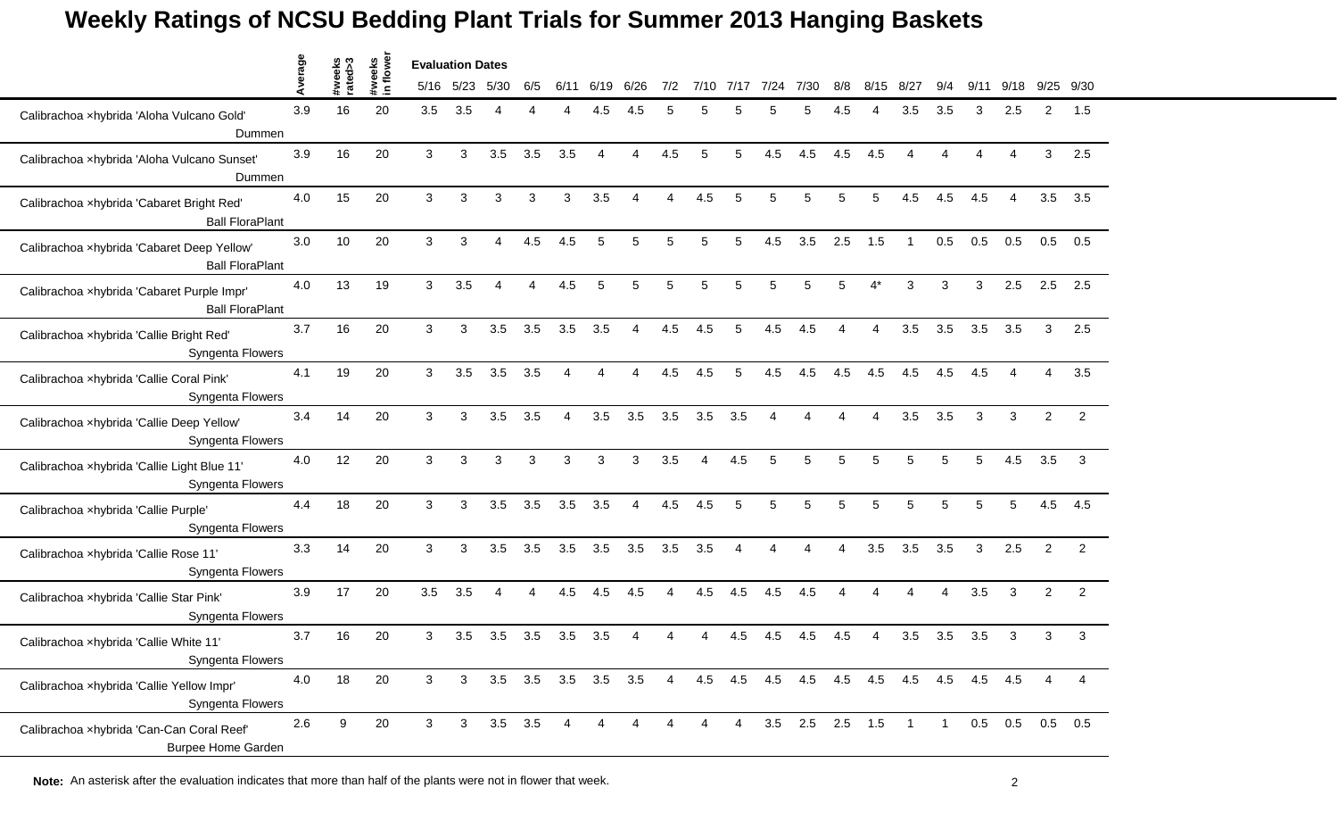|                                                                        |         |                   |                     | <b>Evaluation Dates</b> |           |                          |                        |      |                        |                          |                |          |                |      |                 |                |                          |                |     |      |                        |                |                |
|------------------------------------------------------------------------|---------|-------------------|---------------------|-------------------------|-----------|--------------------------|------------------------|------|------------------------|--------------------------|----------------|----------|----------------|------|-----------------|----------------|--------------------------|----------------|-----|------|------------------------|----------------|----------------|
|                                                                        | Average | #weeks<br>rated>3 | #weeks<br>in flower |                         | 5/16 5/23 | 5/30                     | 6/5                    | 6/11 | 6/19                   | 6/26                     | 7/2            | 7/10     | 7/17           | 7/24 | 7/30            | 8/8            | 8/15                     | 8/27           | 9/4 | 9/11 | 9/18                   | 9/25           | 9/30           |
| Calibrachoa xhybrida 'Aloha Vulcano Gold'<br>Dummen                    | 3.9     | 16                | 20                  | 3.5                     | 3.5       |                          |                        |      | 4.5                    | 4.5                      | 5              |          |                |      | 5               | 4.5            |                          | 3.5            | 3.5 | 3    | 2.5                    | $\overline{2}$ | 1.5            |
| Calibrachoa xhybrida 'Aloha Vulcano Sunset'<br>Dummen                  | 3.9     | 16                | 20                  | 3                       | 3         | 3.5                      | 3.5                    | 3.5  | 4                      | $\overline{A}$           | 4.5            | 5        | 5              | 4.5  | 4.5             | 4.5            | 4.5                      | 4              | Δ   |      | Δ                      | 3              | 2.5            |
| Calibrachoa xhybrida 'Cabaret Bright Red'<br><b>Ball FloraPlant</b>    | 4.0     | 15                | 20                  | 3                       | 3         | 3                        | 3                      | 3    | 3.5                    | $\boldsymbol{\varDelta}$ | 4              | 4.5      | 5              | 5    | 5               | 5              | 5                        | 4.5            | 4.5 | 4.5  | $\boldsymbol{\Lambda}$ | 3.5            | 3.5            |
| Calibrachoa xhybrida 'Cabaret Deep Yellow'<br><b>Ball FloraPlant</b>   | 3.0     | 10                | 20                  | 3                       | 3         | $\boldsymbol{\varDelta}$ | 4.5                    | 4.5  | 5                      | 5                        | 5              | 5        | 5              | 4.5  | 3.5             | 2.5            | 1.5                      | -1             | 0.5 | 0.5  | 0.5                    | 0.5            | 0.5            |
| Calibrachoa xhybrida 'Cabaret Purple Impr'<br><b>Ball FloraPlant</b>   | 4.0     | 13                | 19                  | 3                       | 3.5       |                          |                        | 4.5  | 5                      | 5                        | 5              | 5        |                | 5    | 5               |                |                          | 3              |     | 3    | 2.5                    | 2.5            | 2.5            |
| Calibrachoa xhybrida 'Callie Bright Red'<br>Syngenta Flowers           | 3.7     | 16                | 20                  | 3                       | 3         | 3.5                      | 3.5                    | 3.5  | 3.5                    | $\overline{4}$           | 4.5            | 4.5      | 5              | 4.5  | 4.5             | $\overline{4}$ | $\boldsymbol{\Lambda}$   | 3.5            | 3.5 | 3.5  | 3.5                    | 3              | 2.5            |
| Calibrachoa xhybrida 'Callie Coral Pink'<br>Syngenta Flowers           | 4.1     | 19                | 20                  | 3                       | 3.5       | 3.5                      | 3.5                    | 4    | $\boldsymbol{\Lambda}$ | $\Delta$                 | 4.5            | 4.5      | 5              | 4.5  | 4.5             | 4.5            | 4.5                      | 4.5            | 4.5 | 4.5  | Δ                      | 4              | 3.5            |
| Calibrachoa xhybrida 'Callie Deep Yellow'<br>Syngenta Flowers          | 3.4     | 14                | 20                  | 3                       | 3         | 3.5                      | 3.5                    | 4    | 3.5                    | 3.5                      | 3.5            | 3.5      | 3.5            | Δ    | 4               |                | $\boldsymbol{\Lambda}$   | 3.5            | 3.5 | 3    | 3                      | $\overline{2}$ | $\overline{2}$ |
| Calibrachoa xhybrida 'Callie Light Blue 11'<br>Syngenta Flowers        | 4.0     | 12                | 20                  | 3                       | 3         | 3                        | 3                      | 3    | 3                      | 3                        | 3.5            | $\Delta$ | 4.5            | 5    | 5               |                | 5                        | 5              |     | 5    | 4.5                    | 3.5            | 3              |
| Calibrachoa xhybrida 'Callie Purple'<br>Syngenta Flowers               | 4.4     | 18                | 20                  | 3                       | 3         | 3.5                      | 3.5                    | 3.5  | 3.5                    | $\overline{4}$           | 4.5            | 4.5      | 5              | 5    | 5               | 5              | 5                        | 5              | 5   | 5    | 5                      | 4.5            | 4.5            |
| Calibrachoa xhybrida 'Callie Rose 11'<br>Syngenta Flowers              | 3.3     | 14                | 20                  | 3                       | 3         | 3.5                      | 3.5                    | 3.5  | 3.5                    | 3.5                      | 3.5            | 3.5      | $\overline{4}$ | 4    | 4               | 4              | 3.5                      | 3.5            | 3.5 | 3    | 2.5                    | 2              | 2              |
| Calibrachoa xhybrida 'Callie Star Pink'<br>Syngenta Flowers            | 3.9     | 17                | 20                  | 3.5                     | 3.5       | $\boldsymbol{\Lambda}$   | $\boldsymbol{\Lambda}$ | 4.5  | 4.5                    | 4.5                      | Δ              | 4.5      | 4.5            | 4.5  | 4.5             |                |                          | Δ              |     | 3.5  | 3                      | $\overline{2}$ | $\overline{2}$ |
| Calibrachoa xhybrida 'Callie White 11'<br>Syngenta Flowers             | 3.7     | 16                | 20                  | 3                       | 3.5       | 3.5                      | 3.5                    | 3.5  | 3.5                    |                          |                |          | 4.5            | 4.5  | 4.5             | 4.5            | $\boldsymbol{\varDelta}$ | 3.5            | 3.5 | 3.5  | 3                      | 3              | 3              |
| Calibrachoa xhybrida 'Callie Yellow Impr'<br>Syngenta Flowers          | 4.0     | 18                | 20                  | 3                       | 3         | $3.5\quad 3.5$           |                        | 3.5  | $3.5$ $3.5$            |                          | $\overline{4}$ |          | 4.5 4.5        | 4.5  |                 |                | 4.5 4.5 4.5              | 4.5            | 4.5 | 4.5  | 4.5                    | 4              | 4              |
| Calibrachoa xhybrida 'Can-Can Coral Reef'<br><b>Burpee Home Garden</b> | 2.6     | 9                 | 20                  | 3                       | 3         | $3.5$ $3.5$              |                        |      |                        |                          |                | 4        | 4              |      | 3.5 2.5 2.5 1.5 |                |                          | $\overline{1}$ |     |      | $0.5$ 0.5              |                | $0.5$ 0.5      |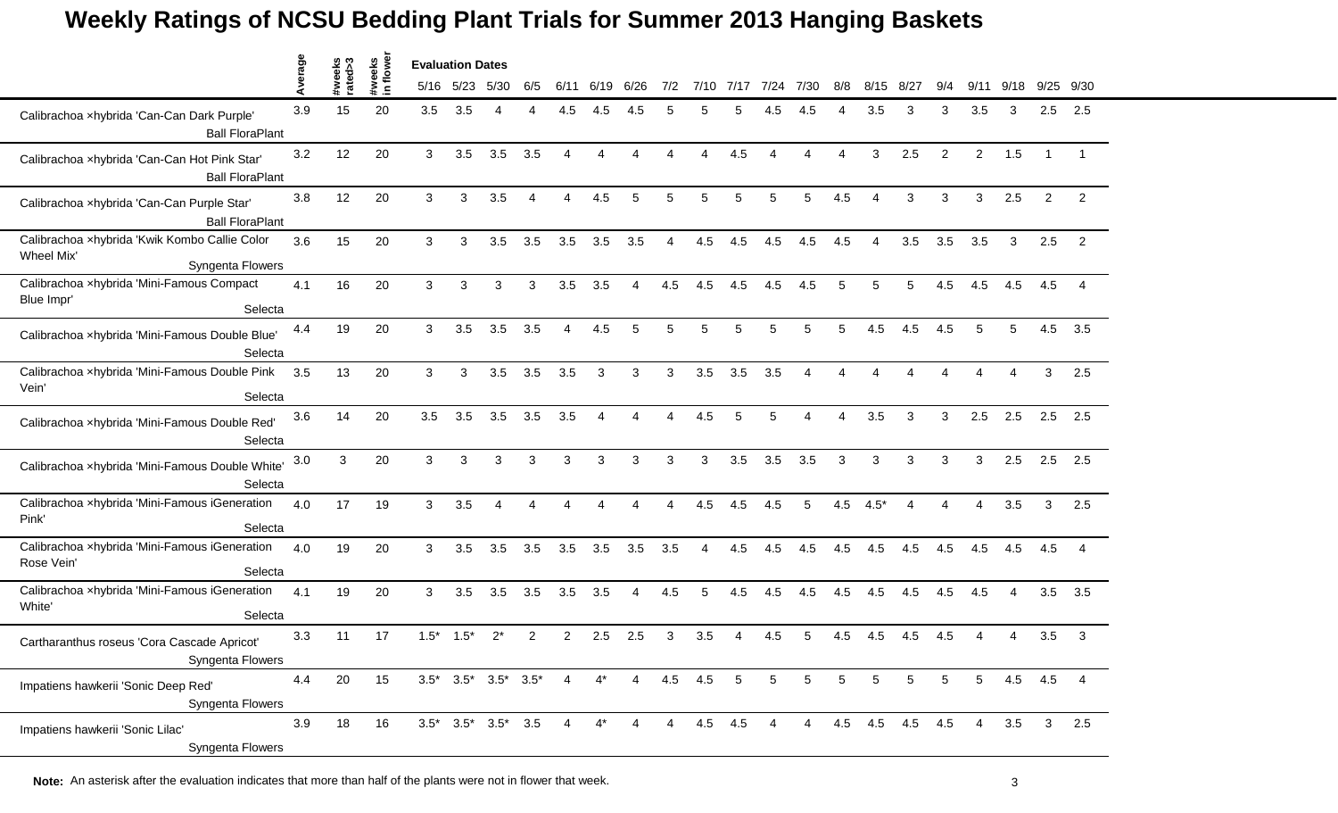|                                                                                 |         |                   |                    | <b>Evaluation Dates</b> |        |                                 |                |                          |       |                |                |          |      |                        |                       |          |        |                 |                          |                |      |                |                |
|---------------------------------------------------------------------------------|---------|-------------------|--------------------|-------------------------|--------|---------------------------------|----------------|--------------------------|-------|----------------|----------------|----------|------|------------------------|-----------------------|----------|--------|-----------------|--------------------------|----------------|------|----------------|----------------|
|                                                                                 | Average | #weeks<br>rated>3 | #weeks<br>in flowe | 5/16                    | 5/23   | 5/30                            | 6/5            | 6/11                     | 6/19  | 6/26           | 7/2            | 7/10     | 7/17 | 7/24                   | 7/30                  | 8/8      | 8/15   | 8/27            |                          | 9/             | 9/18 | 9/25           | 9/30           |
| Calibrachoa xhybrida 'Can-Can Dark Purple'<br><b>Ball FloraPlant</b>            | 3.9     | 15                | 20                 | 3.5                     | 3.5    | 4                               |                | 4.5                      | 4.5   | 4.5            |                |          |      | 4.5                    | 4.5                   |          | 3.5    | 3               | 3                        | 3.5            | 3    | 2.5            | 2.5            |
| Calibrachoa xhybrida 'Can-Can Hot Pink Star'<br><b>Ball FloraPlant</b>          | 3.2     | 12                | 20                 | 3                       | 3.5    | 3.5                             | 3.5            | $\boldsymbol{\varDelta}$ | 4     |                |                | $\Delta$ | 4.5  | $\boldsymbol{\Lambda}$ | Δ                     | $\Delta$ | 3      | 2.5             | $\overline{2}$           | $\overline{c}$ | 1.5  | $\mathbf{1}$   |                |
| Calibrachoa xhybrida 'Can-Can Purple Star'<br><b>Ball FloraPlant</b>            | 3.8     | 12                | 20                 | 3                       | 3      | 3.5                             | 4              | $\boldsymbol{\Lambda}$   | 4.5   | 5              | 5              | 5        | 5    | 5                      | 5                     | 4.5      | 4      | 3               | 3                        | 3              | 2.5  | 2              | $\overline{2}$ |
| Calibrachoa xhybrida 'Kwik Kombo Callie Color<br>Wheel Mix'<br>Syngenta Flowers | 3.6     | 15                | 20                 | 3                       | 3      | 3.5                             | 3.5            | 3.5                      | 3.5   | 3.5            | 4              | 4.5      | 4.5  | 4.5                    | 4.5                   | 4.5      | 4      | 3.5             | 3.5                      | 3.5            | 3    | 2.5            | 2              |
| Calibrachoa xhybrida 'Mini-Famous Compact<br>Blue Impr'<br>Selecta              | 4.1     | 16                | 20                 | 3                       | 3      | 3                               | 3              | 3.5                      | 3.5   |                | 4.5            | 4.5      | 4.5  | 4.5                    | 4.5                   | 5        | 5      |                 | 4.5                      | 4.5            | 4.5  | 4.5            |                |
| Calibrachoa xhybrida 'Mini-Famous Double Blue'<br>Selecta                       | 4.4     | 19                | 20                 | 3                       | 3.5    | 3.5                             | 3.5            | $\overline{4}$           | 4.5   | 5              | 5              | 5        | 5    | 5                      | 5                     | 5        | 4.5    | 4.5             | 4.5                      | 5              | 5    | 4.5            | 3.5            |
| Calibrachoa xhybrida 'Mini-Famous Double Pink<br>Vein'<br>Selecta               | 3.5     | 13                | 20                 | 3                       | 3      | 3.5                             | 3.5            | 3.5                      | 3     | 3              | 3              | 3.5      | 3.5  | 3.5                    | $\boldsymbol{\Delta}$ |          |        |                 |                          |                |      | 3              | 2.5            |
| Calibrachoa xhybrida 'Mini-Famous Double Red'<br>Selecta                        | 3.6     | 14                | 20                 | 3.5                     | 3.5    | 3.5                             | 3.5            | 3.5                      | 4     |                | Δ              | 4.5      | 5    | 5                      | Δ                     | 4        | 3.5    | 3               | 3                        | 2.5            | 2.5  | 2.5            | 2.5            |
| Calibrachoa xhybrida 'Mini-Famous Double White'<br>Selecta                      | 3.0     | 3                 | 20                 | 3                       | 3      | 3                               | 3              | 3                        | 3     | 3              | 3              | 3        | 3.5  | 3.5                    | 3.5                   | 3        | 3      | 3               | 3                        | 3              | 2.5  | 2.5            | 2.5            |
| Calibrachoa xhybrida 'Mini-Famous iGeneration<br>Pink'<br>Selecta               | 4.0     | 17                | 19                 | $\mathbf{3}$            | 3.5    | 4                               | Δ              | Δ                        | 4     |                | $\Delta$       | 4.5      | 4.5  | 4.5                    | 5                     | 4.5      | $4.5*$ | Δ               | $\boldsymbol{\varDelta}$ | 4              | 3.5  | 3              | 2.5            |
| Calibrachoa xhybrida 'Mini-Famous iGeneration<br>Rose Vein'<br>Selecta          | 4.0     | 19                | 20                 | 3                       | 3.5    | 3.5                             | 3.5            | 3.5                      | 3.5   | 3.5            | 3.5            | 4        | 4.5  | 4.5                    | 4.5                   | 4.5      | 4.5    | 4.5             | 4.5                      | 4.5            | 4.5  | 4.5            | 4              |
| Calibrachoa xhybrida 'Mini-Famous iGeneration<br>White'<br>Selecta              | 4.1     | 19                | 20                 | 3                       | 3.5    | 3.5                             | 3.5            | 3.5                      | 3.5   | 4              | 4.5            | 5        | 4.5  | 4.5                    | 4.5                   | 4.5      | 4.5    | 4.5             | 4.5                      | 4.5            |      | 3.5            | 3.5            |
| Cartharanthus roseus 'Cora Cascade Apricot'<br>Syngenta Flowers                 | 3.3     | 11                | 17                 | $1.5*$                  | $1.5*$ | $2^*$                           | $\overline{2}$ | $\overline{2}$           | 2.5   | 2.5            | 3              | 3.5      |      | 4.5                    | 5                     | 4.5      | 4.5    | 4.5             | 4.5                      |                |      | 3.5            | 3              |
| Impatiens hawkerii 'Sonic Deep Red'<br>Syngenta Flowers                         | 4.4     | 20                | 15                 |                         |        | $3.5^*$ $3.5^*$ $3.5^*$ $3.5^*$ |                | $\overline{4}$           | $4^*$ | $\overline{4}$ | 4.5            | 4.5      | 5    | 5                      | 5                     | 5        | 5      | 5               | 5                        | 5              | 4.5  | 4.5            | $\overline{4}$ |
| Impatiens hawkerii 'Sonic Lilac'<br>Syngenta Flowers                            | 3.9     | 18                | 16                 |                         |        | $3.5^*$ $3.5^*$ $3.5^*$ $3.5$   |                | 4                        | $4^*$ | $\overline{4}$ | $\overline{4}$ | 4.5 4.5  |      | 4                      | $4\overline{ }$       |          |        | 4.5 4.5 4.5 4.5 |                          | 4              | 3.5  | 3 <sup>1</sup> | 2.5            |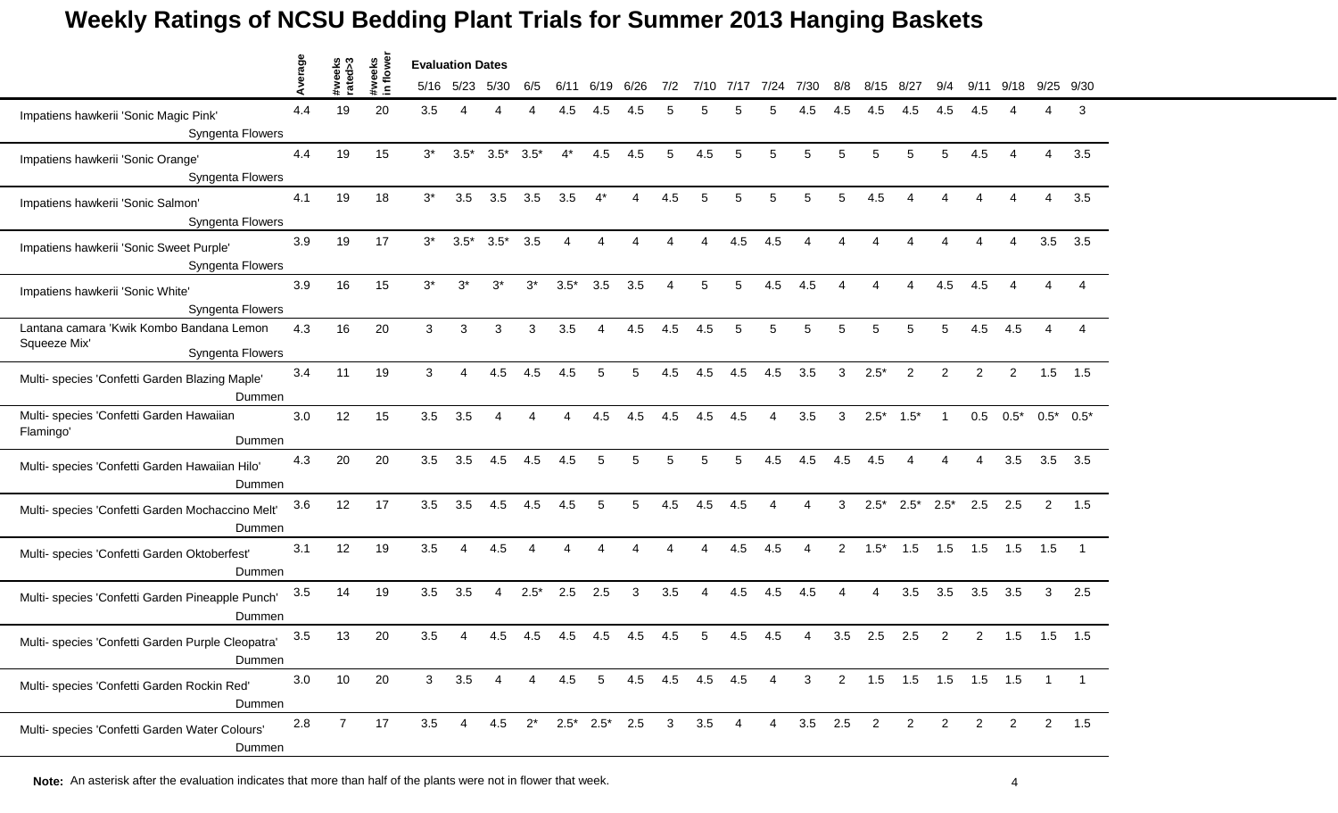|                                                                              | erage |                   |                     | <b>Evaluation Dates</b> |                |                          |                        |        |                |                                                   |                        |                 |           |                          |                |                 |        |                            |                |                |                |                |              |
|------------------------------------------------------------------------------|-------|-------------------|---------------------|-------------------------|----------------|--------------------------|------------------------|--------|----------------|---------------------------------------------------|------------------------|-----------------|-----------|--------------------------|----------------|-----------------|--------|----------------------------|----------------|----------------|----------------|----------------|--------------|
|                                                                              |       | #weeks<br>rated>3 | #weeks<br>in flower |                         | 5/16 5/23      | 5/30                     | 6/5                    | 6/11   | 6/19           | 6/26                                              | 7/2                    |                 | 7/10 7/17 | 7/24                     | 7/30           | 8/8             | 8/15   | 8/27                       | 9/4            | 9/11           | 9/18           |                | 9/25 9/30    |
| Impatiens hawkerii 'Sonic Magic Pink'<br>Syngenta Flowers                    | 4.4   | 19                | 20                  | 3.5                     | Δ              |                          |                        | 4.5    | 4.5            | 4.5                                               | 5                      | 5               |           | 5                        | 4.5            | 4.5             | 4.5    | 4.5                        | 4.5            | 4.5            |                | Δ              | 3            |
| Impatiens hawkerii 'Sonic Orange'<br>Syngenta Flowers                        | 4.4   | 19                | 15                  | $3^*$                   | $3.5*$         | $3.5*$                   | $3.5*$                 | $4^*$  | 4.5            | 4.5                                               | 5                      | 4.5             | 5         | 5                        | 5              | 5               | 5      | 5                          | 5              | 4.5            |                | $\overline{A}$ | 3.5          |
| Impatiens hawkerii 'Sonic Salmon'<br>Syngenta Flowers                        | 4.1   | 19                | 18                  | $3^*$                   | 3.5            | 3.5                      | 3.5                    | 3.5    | $4^*$          | $\overline{A}$                                    | 4.5                    | 5               | 5         | 5                        | 5              | 5               | 4.5    |                            | Δ              | Δ              |                | 4              | 3.5          |
| Impatiens hawkerii 'Sonic Sweet Purple'<br>Syngenta Flowers                  | 3.9   | 19                | 17                  | $3^*$                   | $3.5*$         | $3.5*$                   | 3.5                    | 4      | 4              |                                                   |                        | Δ               | 4.5       | 4.5                      | Δ              |                 |        |                            |                | Δ              |                | 3.5            | 3.5          |
| Impatiens hawkerii 'Sonic White'<br>Syngenta Flowers                         | 3.9   | 16                | 15                  | $3^*$                   | $3^*$          | $3^*$                    | $3^*$                  | $3.5*$ | 3.5            | 3.5                                               |                        | 5               | 5         | 4.5                      | 4.5            |                 |        |                            | 4.5            |                |                |                |              |
| Lantana camara 'Kwik Kombo Bandana Lemon<br>Squeeze Mix'<br>Syngenta Flowers | 4.3   | 16                | 20                  | 3                       | 3              | 3                        | 3                      | 3.5    | 4              | 4.5                                               | 4.5                    | 4.5             | 5         | 5                        | 5              | 5               | 5      | 5                          | 5              | 4.5            | 4.5            | $\overline{4}$ | Δ            |
| Multi- species 'Confetti Garden Blazing Maple'<br>Dummen                     | 3.4   | 11                | 19                  | 3                       | 4              | 4.5                      | 4.5                    | 4.5    | 5              | 5                                                 | 4.5                    | 4.5             | 4.5       | 4.5                      | 3.5            | 3               | $2.5*$ | 2                          | $\overline{2}$ | 2              | $\overline{2}$ | 1.5            | 1.5          |
| Multi- species 'Confetti Garden Hawaiian<br>Flamingo'<br>Dummen              | 3.0   | 12                | 15                  | 3.5                     | 3.5            | $\boldsymbol{\varDelta}$ | 4                      | 4      | 4.5            | 4.5                                               | 4.5                    | 4.5             | 4.5       | $\overline{4}$           | 3.5            | 3               | $2.5*$ | $1.5*$                     | $\overline{1}$ | 0.5            | $0.5*$         |                | $0.5^*$ 0.5* |
| Multi- species 'Confetti Garden Hawaiian Hilo'<br>Dummen                     | 4.3   | 20                | 20                  | 3.5                     | 3.5            | 4.5                      | 4.5                    | 4.5    | 5              | 5                                                 | 5                      | 5               |           | 4.5                      | 4.5            | 4.5             | 4.5    |                            |                |                | 3.5            | 3.5            | 3.5          |
| Multi- species 'Confetti Garden Mochaccino Melt'<br>Dummen                   | 3.6   | 12                | 17                  | 3.5                     | 3.5            | 4.5                      | 4.5                    | 4.5    | 5              | 5                                                 | 4.5                    | 4.5             | 4.5       | $\boldsymbol{\varDelta}$ | 4              | 3               | $2.5*$ | $2.5*$                     | $2.5*$         | 2.5            | 2.5            | 2              | 1.5          |
| Multi- species 'Confetti Garden Oktoberfest'<br>Dummen                       | 3.1   | 12                | 19                  | 3.5                     | 4              | 4.5                      | $\boldsymbol{\Lambda}$ | 4      | 4              |                                                   | $\boldsymbol{\Lambda}$ | 4               | 4.5       | 4.5                      | 4              | $\mathbf{2}$    | $1.5*$ | 1.5                        | 1.5            | 1.5            | 1.5            | 1.5            | - 1          |
| Multi- species 'Confetti Garden Pineapple Punch'<br>Dummen                   | 3.5   | 14                | 19                  | 3.5                     | 3.5            | 4                        | $2.5*$                 | 2.5    | 2.5            | 3                                                 | 3.5                    | 4               | 4.5       | 4.5                      | 4.5            | 4               | 4      | 3.5                        | 3.5            | 3.5            | 3.5            | 3              | 2.5          |
| Multi- species 'Confetti Garden Purple Cleopatra'<br>Dummen                  | 3.5   | 13                | 20                  | 3.5                     | 4              | 4.5                      | 4.5                    | 4.5    | 4.5            | 4.5                                               | 4.5                    | 5               | 4.5       | 4.5                      | 4              | 3.5             | 2.5    | 2.5                        | 2              | 2              | 1.5            | 1.5            | 1.5          |
| Multi- species 'Confetti Garden Rockin Red'<br>Dummen                        | 3.0   | 10                | 20                  | 3 <sup>7</sup>          | 3.5            | $\overline{4}$           | $\overline{4}$         | 4.5    | 5 <sub>5</sub> |                                                   |                        | 4.5 4.5 4.5 4.5 |           | $\overline{4}$           | 3 <sup>1</sup> |                 |        | 2  1.5  1.5  1.5  1.5  1.5 |                |                |                | $\overline{1}$ |              |
| Multi- species 'Confetti Garden Water Colours'<br>Dummen                     | 2.8   | $\overline{7}$    | 17                  | 3.5                     | $\overline{4}$ |                          |                        |        |                | 4.5 $2^*$ 2.5 <sup>*</sup> 2.5 <sup>*</sup> 2.5 3 |                        | $3.5\quad 4$    |           | $\overline{4}$           |                | $3.5$ $2.5$ $2$ |        | $\overline{2}$             | $\overline{2}$ | $\overline{2}$ | $\overline{2}$ | $2^{\circ}$    | 1.5          |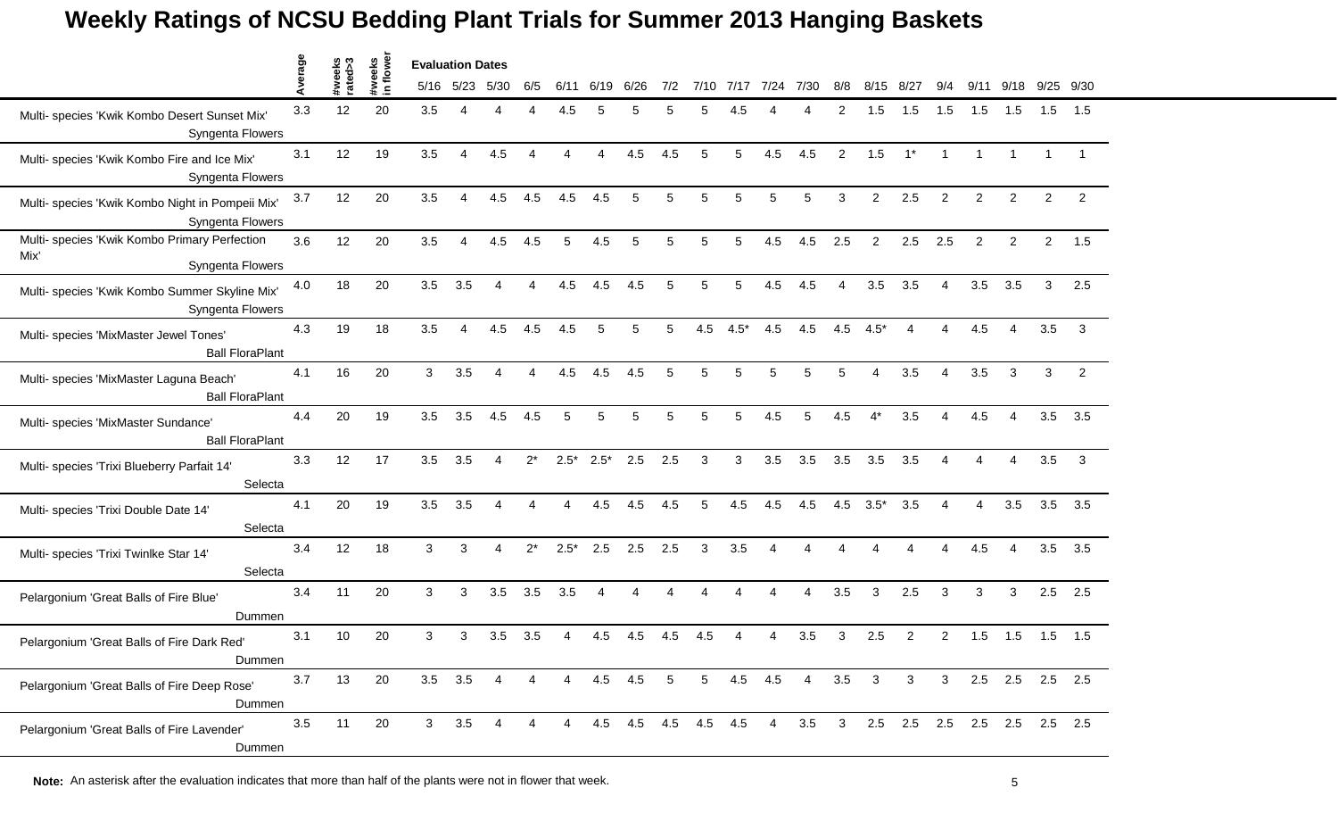|                                                                           | verage | #weeks<br>rated>3 |                    | <b>Evaluation Dates</b> |           |                        |       |           |        |      |     |         |        |                          |      |                |                |                          |                |                |                |                |                |
|---------------------------------------------------------------------------|--------|-------------------|--------------------|-------------------------|-----------|------------------------|-------|-----------|--------|------|-----|---------|--------|--------------------------|------|----------------|----------------|--------------------------|----------------|----------------|----------------|----------------|----------------|
|                                                                           | ⋖      |                   | #weeks<br>in flowe |                         | 5/16 5/23 | 5/30                   | 6/5   | 6/11      | 6/19   | 6/26 | 7/2 | 7/10    | 7/17   | 7/24                     | 7/30 | 8/8            | 8/15           | 8/27                     | 9/4            | 9/11           | 9/18           | 9/25           | 9/30           |
| Multi- species 'Kwik Kombo Desert Sunset Mix'<br>Syngenta Flowers         | 3.3    | 12                | 20                 | 3.5                     | Λ         |                        |       | 4.5       |        |      |     |         |        |                          |      |                | 1.5            | 1.5                      | 1.5            | 1.5            | 1.5            | 1.5            | 1.5            |
| Multi- species 'Kwik Kombo Fire and Ice Mix'<br>Syngenta Flowers          | 3.1    | 12                | 19                 | 3.5                     | Δ         | 4.5                    | Δ     | $\Lambda$ | Δ      | 4.5  | 4.5 | 5       | 5      | 4.5                      | 4.5  | 2              | 1.5            | $1^*$                    | $\overline{1}$ |                |                | $\overline{1}$ | $\overline{1}$ |
| Multi- species 'Kwik Kombo Night in Pompeii Mix'<br>Syngenta Flowers      | 3.7    | 12                | 20                 | 3.5                     | Δ         | 4.5                    | 4.5   | 4.5       | 4.5    | 5    | 5   | 5       | 5      | 5                        | 5    | 3              | $\overline{2}$ | 2.5                      | $\overline{2}$ | $\overline{2}$ | $\overline{2}$ | $\overline{2}$ | $\overline{2}$ |
| Multi- species 'Kwik Kombo Primary Perfection<br>Mix'<br>Syngenta Flowers | 3.6    | 12                | 20                 | 3.5                     | 4         | 4.5                    | 4.5   | 5         | 4.5    | 5    | 5   | 5       |        | 4.5                      | 4.5  | 2.5            | 2              | 2.5                      | 2.5            | $\overline{2}$ | $\overline{2}$ | $\overline{2}$ | 1.5            |
| Multi- species 'Kwik Kombo Summer Skyline Mix'<br>Syngenta Flowers        | 4.0    | 18                | 20                 | 3.5                     | 3.5       |                        |       | 4.5       | 4.5    | 4.5  | 5   | 5       |        | 4.5                      | 4.5  | Δ              | 3.5            | 3.5                      |                | 3.5            | 3.5            | 3              | 2.5            |
| Multi- species 'MixMaster Jewel Tones'<br><b>Ball FloraPlant</b>          | 4.3    | 19                | 18                 | 3.5                     | 4         | 4.5                    | 4.5   | 4.5       | 5      | 5    | 5   | 4.5     | $4.5*$ | 4.5                      | 4.5  | 4.5            | $4.5*$         | $\boldsymbol{\varDelta}$ | Δ              | 4.5            | 4              | 3.5            | 3              |
| Multi- species 'MixMaster Laguna Beach'<br><b>Ball FloraPlant</b>         | 4.1    | 16                | 20                 | 3                       | 3.5       | Δ                      | 4     | 4.5       | 4.5    | 4.5  | 5   | 5       | 5      | 5                        | 5    | 5              | $\overline{4}$ | 3.5                      | 4              | 3.5            | 3              | 3              | $\overline{2}$ |
| Multi- species 'MixMaster Sundance'<br><b>Ball FloraPlant</b>             | 4.4    | 20                | 19                 | 3.5                     | 3.5       | 4.5                    | 4.5   | 5         | 5      | 5    | 5   | 5       | 5      | 4.5                      | 5    | 4.5            | $4^*$          | 3.5                      | 4              | 4.5            |                | 3.5            | 3.5            |
| Multi- species 'Trixi Blueberry Parfait 14'<br>Selecta                    | 3.3    | 12                | 17                 | 3.5                     | 3.5       |                        | $2^*$ | $2.5*$    | $2.5*$ | 2.5  | 2.5 | 3       | 3      | 3.5                      | 3.5  | 3.5            | 3.5            | 3.5                      |                |                |                | 3.5            | 3              |
| Multi- species 'Trixi Double Date 14'<br>Selecta                          | 4.1    | 20                | 19                 | 3.5                     | 3.5       | $\boldsymbol{\Lambda}$ | Δ     | Δ         | 4.5    | 4.5  | 4.5 | 5       | 4.5    | 4.5                      | 4.5  | 4.5            | $3.5*$         | 3.5                      | 4              | $\overline{4}$ | 3.5            | 3.5            | 3.5            |
| Multi- species 'Trixi Twinlke Star 14'<br>Selecta                         | 3.4    | 12                | 18                 | 3                       | 3         | $\Lambda$              | $2^*$ | $2.5*$    | 2.5    | 2.5  | 2.5 | 3       | 3.5    | $\boldsymbol{\varDelta}$ | Δ    |                |                |                          | Δ              | 4.5            | $\Delta$       | 3.5            | 3.5            |
| Pelargonium 'Great Balls of Fire Blue'<br>Dummen                          | 3.4    | 11                | 20                 | 3                       | 3         | 3.5                    | 3.5   | 3.5       | Δ      |      |     |         |        |                          | 4    | 3.5            | 3              | 2.5                      | 3              | 3              | 3              | 2.5            | 2.5            |
| Pelargonium 'Great Balls of Fire Dark Red'<br>Dummen                      | 3.1    | 10                | 20                 | 3                       | 3         | 3.5                    | 3.5   |           | 4.5    | 4.5  | 4.5 | 4.5     |        |                          | 3.5  | 3              | 2.5            | 2                        | 2              | 1.5            | 1.5            | 1.5            | 1.5            |
| Pelargonium 'Great Balls of Fire Deep Rose'<br>Dummen                     | 3.7    | 13                | 20                 | 3.5                     | 3.5       | 4                      | 4     | 4         | 4.5    | 4.5  | 5   | 5       | 4.5    | 4.5                      | 4    | 3.5            | 3              | $\mathbf{3}$             | 3 <sup>1</sup> |                | $2.5$ 2.5      |                | $2.5$ 2.5      |
| Pelargonium 'Great Balls of Fire Lavender'<br>Dummen                      | 3.5    | 11                | 20                 | 3 <sup>1</sup>          | 3.5       | Δ                      |       | 4         | 4.5    | 4.5  | 4.5 | 4.5 4.5 |        | 4                        | 3.5  | 3 <sup>3</sup> |                | $2.5$ 2.5                |                | 2.5 2.5 2.5    |                |                | $2.5$ 2.5      |

**Note:** An asterisk after the evaluation indicates that more than half of the plants were not in flower that week. 55 \$50.55 \$50.55 \$50.55 \$1.55 \$1.55 \$1.55 \$1.55 \$1.55 \$1.55 \$1.55 \$1.55 \$1.55 \$1.55 \$1.55 \$1.55 \$1.55 \$1.55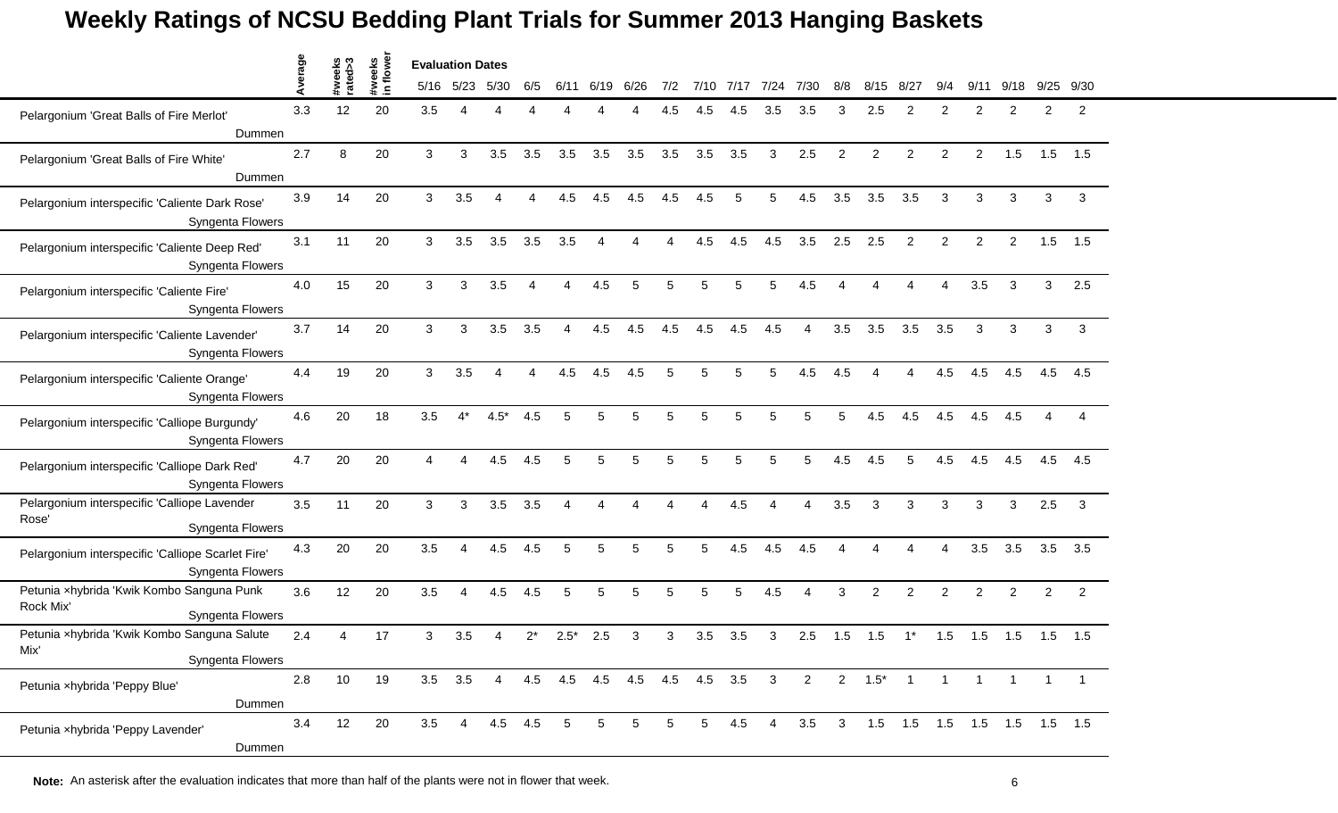|                                                                                   | verage |                   |                    | <b>Evaluation Dates</b> |       |                |     |        |      |                             |     |      |      |              |                |                         |                 |                                   |                |                |                |                |                |
|-----------------------------------------------------------------------------------|--------|-------------------|--------------------|-------------------------|-------|----------------|-----|--------|------|-----------------------------|-----|------|------|--------------|----------------|-------------------------|-----------------|-----------------------------------|----------------|----------------|----------------|----------------|----------------|
|                                                                                   | ⋖      | #weeks<br>rated>3 | #weeks<br>in flowe | 5/16                    | 5/23  | 5/30           | 6/5 | 6/11   | 6/19 | 6/26                        | 7/2 | 7/10 | 7/17 | 7/24         | 7/30           | 8/8                     | 8/15            | 8/27                              | 9/4            | 9/             | 9/18           | 9/25           | 9/30           |
| Pelargonium 'Great Balls of Fire Merlot'<br>Dummen                                | 3.3    | 12                | 20                 | 3.5                     | Δ     |                |     |        |      |                             | 4.5 | 4.5  | 4.5  | 3.5          | 3.5            | 3                       | 2.5             | $\mathcal{P}$                     | 2              | 2              | $\mathcal{P}$  | 2              | 2              |
| Pelargonium 'Great Balls of Fire White'<br>Dummen                                 | 2.7    | 8                 | 20                 | 3                       | 3     | 3.5            | 3.5 | 3.5    | 3.5  | 3.5                         | 3.5 | 3.5  | 3.5  | 3            | 2.5            | $\overline{2}$          | 2               | $\overline{2}$                    | 2              | $\overline{c}$ | 1.5            | 1.5            | 1.5            |
| Pelargonium interspecific 'Caliente Dark Rose'<br>Syngenta Flowers                | 3.9    | 14                | 20                 | 3                       | 3.5   | $\overline{4}$ | Δ   | 4.5    | 4.5  | 4.5                         | 4.5 | 4.5  | 5    | 5            | 4.5            | 3.5                     | 3.5             | 3.5                               | 3              | 3              | 3              | 3              | 3              |
| Pelargonium interspecific 'Caliente Deep Red'<br><b>Syngenta Flowers</b>          | 3.1    | 11                | 20                 | 3                       | 3.5   | 3.5            | 3.5 | 3.5    | 4    |                             | Δ   | 4.5  | 4.5  | 4.5          | 3.5            | 2.5                     | 2.5             | 2                                 | 2              | $\overline{2}$ | $\overline{2}$ | 1.5            | 1.5            |
| Pelargonium interspecific 'Caliente Fire'<br>Syngenta Flowers                     | 4.0    | 15                | 20                 | 3                       | 3     | 3.5            |     |        | 4.5  |                             | 5   | 5    |      | 5            | 4.5            |                         |                 |                                   |                | 3.5            | 3              | 3              | 2.5            |
| Pelargonium interspecific 'Caliente Lavender'<br>Syngenta Flowers                 | 3.7    | 14                | 20                 | 3                       | 3     | 3.5            | 3.5 | 4      | 4.5  | 4.5                         | 4.5 | 4.5  | 4.5  | 4.5          | 4              | 3.5                     | 3.5             | 3.5                               | 3.5            | 3              | 3              | $\mathbf{3}$   | 3              |
| Pelargonium interspecific 'Caliente Orange'<br>Syngenta Flowers                   | 4.4    | 19                | 20                 | 3                       | 3.5   | $\overline{4}$ | 4   | 4.5    | 4.5  | 4.5                         | 5   | 5    | 5    | 5            | 4.5            | 4.5                     | Δ               | 4                                 | 4.5            | 4.5            | 4.5            | 4.5            | 4.5            |
| Pelargonium interspecific 'Calliope Burgundy'<br><b>Syngenta Flowers</b>          | 4.6    | 20                | 18                 | 3.5                     | $4^*$ | $4.5*$         | 4.5 | 5      | 5    | 5                           | 5   | 5    | 5    | 5            | 5              | 5                       | 4.5             | 4.5                               | 4.5            | 4.5            | 4.5            | Δ              | 4              |
| Pelargonium interspecific 'Calliope Dark Red'<br><b>Syngenta Flowers</b>          | 4.7    | 20                | 20                 |                         |       | 4.5            | 4.5 | 5      | 5    |                             | 5   | 5    |      | 5            | 5              | 4.5                     | 4.5             | 5                                 | 4.5            | 4.5            | 4.5            | 4.5            | 4.5            |
| Pelargonium interspecific 'Calliope Lavender<br>Rose'<br>Syngenta Flowers         | 3.5    | 11                | 20                 | 3                       | 3     | 3.5            | 3.5 | Δ      | 4    |                             | Δ   | Δ    | 4.5  | Δ            | 4              | 3.5                     | 3               | 3                                 | 3              | 3              | 3              | 2.5            | 3              |
| Pelargonium interspecific 'Calliope Scarlet Fire'<br>Syngenta Flowers             | 4.3    | 20                | 20                 | 3.5                     | 4     | 4.5            | 4.5 | 5      | 5    | 5                           | 5   | 5    | 4.5  | 4.5          | 4.5            | Δ                       |                 |                                   | Δ              | 3.5            | 3.5            | 3.5            | 3.5            |
| Petunia xhybrida 'Kwik Kombo Sanguna Punk<br>Rock Mix'<br><b>Syngenta Flowers</b> | 3.6    | 12                | 20                 | 3.5                     |       | 4.5            | 4.5 | 5      | 5    | 5                           | 5   | 5    | 5    | 4.5          | Δ              | 3                       | 2               | $\overline{2}$                    | 2              | $\overline{c}$ | 2              | $\overline{2}$ | $\overline{2}$ |
| Petunia xhybrida 'Kwik Kombo Sanguna Salute<br>Mix'<br>Syngenta Flowers           | 2.4    |                   | 17                 | 3                       | 3.5   |                | 2*  | $2.5*$ | 2.5  | 3                           | 3   | 3.5  | 3.5  | 3            | 2.5            | 1.5                     | 1.5             | $1^*$                             | 1.5            | 1.5            | 1.5            | 1.5            | 1.5            |
| Petunia xhybrida 'Peppy Blue'<br>Dummen                                           | 2.8    | 10                | 19                 | 3.5                     | 3.5   | $\overline{4}$ |     |        |      | 4.5 4.5 4.5 4.5 4.5 4.5 3.5 |     |      |      | $\mathbf{3}$ | $\overline{2}$ |                         | $2 \t1.5^* \t1$ |                                   | $\overline{1}$ | $\overline{1}$ |                |                |                |
| Petunia xhybrida 'Peppy Lavender'<br>Dummen                                       | 3.4    | 12                | 20                 | 3.5                     | 4     | 4.5 4.5        |     | 5      | 5    | 5                           | 5   | 5    | 4.5  | 4            | 3.5            | $\overline{\mathbf{3}}$ |                 | 1.5  1.5  1.5  1.5  1.5  1.5  1.5 |                |                |                |                |                |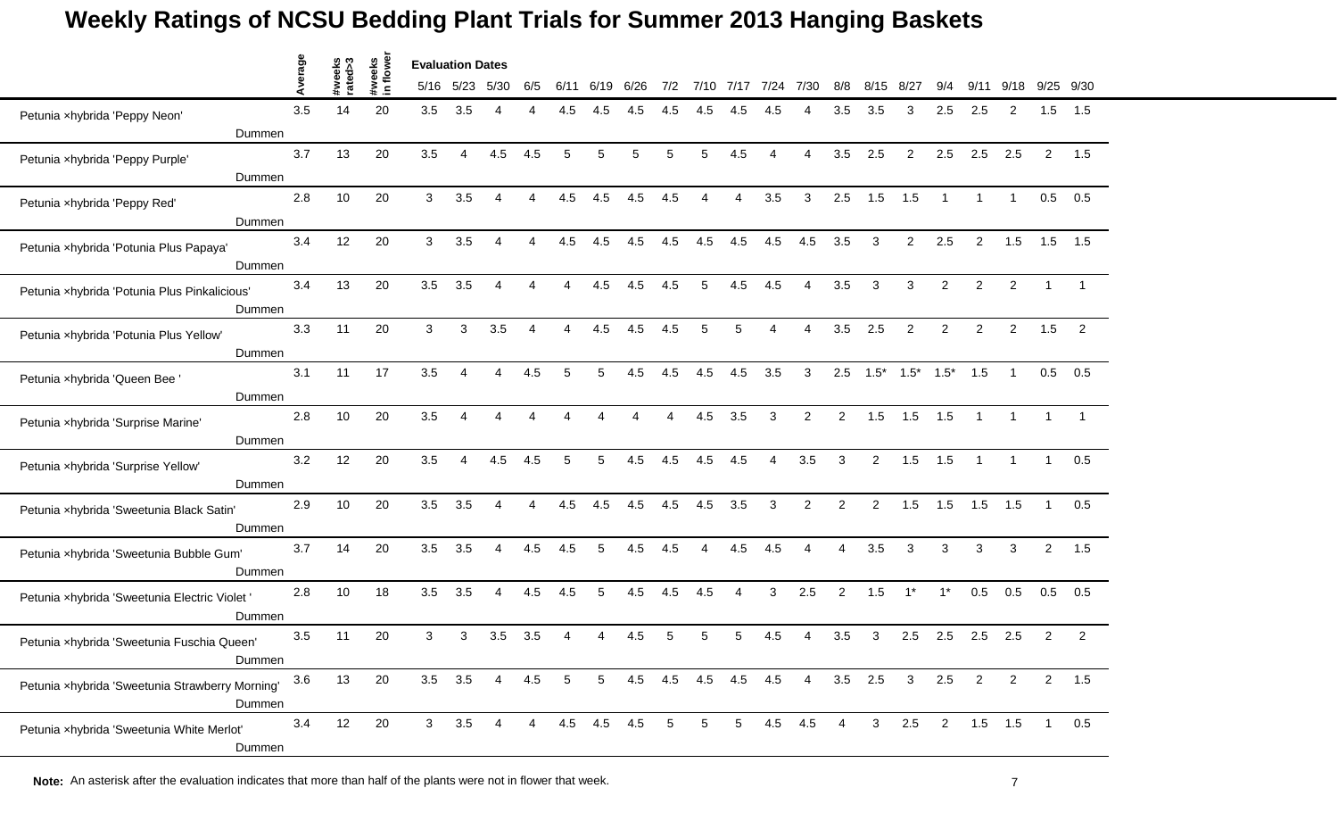|                                                 |        | Average |                   |                    | <b>Evaluation Dates</b> |      |                |     |      |                 |      |                        |         |             |                        |                |                        |              |                |                |                |                |                |                |
|-------------------------------------------------|--------|---------|-------------------|--------------------|-------------------------|------|----------------|-----|------|-----------------|------|------------------------|---------|-------------|------------------------|----------------|------------------------|--------------|----------------|----------------|----------------|----------------|----------------|----------------|
|                                                 |        |         | #weeks<br>rated>3 | #weeks<br>in flowe | 5/16                    | 5/23 | 5/30           | 6/5 | 6/11 | 6/19            | 6/26 | 7/2                    | 7/10    | 7/17        | 7/24                   | 7/30           | 8/8                    | 8/15         | 8/27           | 9/4            | 9/             | 9/18           | 9/25           | 9/30           |
| Petunia xhybrida 'Peppy Neon'                   |        | 3.5     | 14                | 20                 | 3.5                     | 3.5  | 4              |     | 4.5  | 4.5             | 4.5  | 4.5                    | 4.5     | 4.5         |                        | Δ              | 3.5                    | 3.5          | 3              | 2.5            | 2.5            | 2              | 1.5            | 1.5            |
|                                                 | Dummen |         |                   |                    |                         |      |                |     |      |                 |      |                        |         |             |                        |                |                        |              |                |                |                |                |                |                |
| Petunia xhybrida 'Peppy Purple'                 |        | 3.7     | 13                | 20                 | 3.5                     | 4    | 4.5            | 4.5 | 5    | 5               | 5    | 5                      | 5       | 4.5         | $\boldsymbol{\Lambda}$ | 4              | 3.5                    | 2.5          | $\overline{2}$ | 2.5            | 2.5            | 2.5            | $\overline{2}$ | 1.5            |
|                                                 | Dummen |         |                   |                    |                         |      |                |     |      |                 |      |                        |         |             |                        |                |                        |              |                |                |                |                |                |                |
| Petunia xhybrida 'Peppy Red'                    |        | 2.8     | 10                | 20                 | 3                       | 3.5  | 4              | 4   | 4.5  | 4.5             | 4.5  | 4.5                    | 4       | Δ           | 3.5                    | 3              | 2.5                    | 1.5          | 1.5            | $\overline{1}$ | $\mathbf 1$    | $\overline{1}$ | 0.5            | 0.5            |
|                                                 | Dummen |         |                   |                    |                         |      |                |     |      |                 |      |                        |         |             |                        |                |                        |              |                |                |                |                |                |                |
| Petunia xhybrida 'Potunia Plus Papaya'          |        | 3.4     | 12                | 20                 | 3                       | 3.5  | 4              |     | 4.5  | 4.5             | 4.5  | 4.5                    | 4.5     | 4.5         | 4.5                    | 4.5            | 3.5                    | 3            | $\overline{a}$ | 2.5            | $\overline{2}$ | 1.5            | 1.5            | 1.5            |
|                                                 | Dummen |         |                   |                    |                         |      |                |     |      |                 |      |                        |         |             |                        |                |                        |              |                |                |                |                |                |                |
| Petunia xhybrida 'Potunia Plus Pinkalicious'    |        | 3.4     | 13                | 20                 | 3.5                     | 3.5  | 4              |     |      | 4.5             | 4.5  | 4.5                    | 5       | 4.5         | 4.5                    | 4              | 3.5                    | 3            | 3              | $\mathcal{P}$  | 2              | $\overline{2}$ |                |                |
|                                                 | Dummen |         |                   |                    |                         |      |                |     |      |                 |      |                        |         |             |                        |                |                        |              |                |                |                |                |                |                |
| Petunia xhybrida 'Potunia Plus Yellow'          |        | 3.3     | 11                | 20                 | 3                       | 3    | 3.5            | 4   | Δ    | 4.5             | 4.5  | 4.5                    | 5       | 5           | $\Delta$               | 4              | 3.5                    | 2.5          | $\overline{2}$ | $\overline{2}$ | $\overline{2}$ | $\overline{2}$ | 1.5            | 2              |
|                                                 | Dummen |         |                   |                    |                         |      |                |     |      |                 |      |                        |         |             |                        |                |                        |              |                |                |                |                |                |                |
| Petunia xhybrida 'Queen Bee '                   |        | 3.1     | 11                | 17                 | 3.5                     | 4    | 4              | 4.5 | 5    | 5               | 4.5  | 4.5                    | 4.5     | 4.5         | 3.5                    | 3              | 2.5                    | $1.5*$       | $1.5*$         | $1.5*$         | 1.5            | $\overline{1}$ | 0.5            | 0.5            |
|                                                 | Dummen |         |                   |                    |                         |      |                |     |      |                 |      |                        |         |             |                        |                |                        |              |                |                |                |                |                |                |
| Petunia xhybrida 'Surprise Marine'              |        | 2.8     | 10                | 20                 | 3.5                     | Δ    | Δ              |     |      |                 |      | $\boldsymbol{\Lambda}$ | 4.5     | 3.5         | 3                      | $\overline{2}$ | $\overline{2}$         | 1.5          | 1.5            | 1.5            | $\overline{1}$ |                |                |                |
|                                                 | Dummen |         |                   |                    |                         |      |                |     |      |                 |      |                        |         |             |                        |                |                        |              |                |                |                |                |                |                |
| Petunia xhybrida 'Surprise Yellow'              |        | 3.2     | 12                | 20                 | 3.5                     | Δ    | 4.5            | 4.5 |      | 5               | 4.5  | 4.5                    | 4.5     | 4.5         |                        | 3.5            | 3                      | 2            | 1.5            | 1.5            |                |                |                | 0.5            |
|                                                 | Dummen |         |                   |                    |                         |      |                |     |      |                 |      |                        |         |             |                        |                |                        |              |                |                |                |                |                |                |
| Petunia xhybrida 'Sweetunia Black Satin'        |        | 2.9     | 10                | 20                 | 3.5                     | 3.5  | $\overline{4}$ | 4   | 4.5  | 4.5             | 4.5  | 4.5                    | 4.5     | 3.5         | 3                      | $\overline{2}$ | $\overline{2}$         | 2            | 1.5            | 1.5            | 1.5            | 1.5            | $\overline{1}$ | 0.5            |
|                                                 | Dummen |         |                   |                    |                         |      |                |     |      |                 |      |                        |         |             |                        |                |                        |              |                |                |                |                |                |                |
| Petunia xhybrida 'Sweetunia Bubble Gum'         |        | 3.7     | 14                | 20                 | 3.5                     | 3.5  | 4              | 4.5 | 4.5  | 5               | 4.5  | 4.5                    | 4       | 4.5         | 4.5                    | 4              | $\boldsymbol{\Lambda}$ | 3.5          | 3              | 3              | 3              | 3              | $\overline{2}$ | 1.5            |
|                                                 | Dummen |         |                   |                    |                         |      |                |     |      |                 |      |                        |         |             |                        |                |                        |              |                |                |                |                |                |                |
| Petunia xhybrida 'Sweetunia Electric Violet'    |        | 2.8     | 10                | 18                 | 3.5                     | 3.5  | 4              | 4.5 | 4.5  | 5               | 4.5  | 4.5                    | 4.5     | 4           | 3                      | 2.5            | $\overline{c}$         | 1.5          | $1^*$          | $1^*$          | 0.5            | 0.5            | 0.5            | 0.5            |
|                                                 | Dummen |         |                   |                    |                         |      |                |     |      |                 |      |                        |         |             |                        |                |                        |              |                |                |                |                |                |                |
| Petunia xhybrida 'Sweetunia Fuschia Queen'      |        | 3.5     | 11                | 20                 | 3                       | 3    | 3.5            | 3.5 |      |                 | 4.5  |                        | 5       |             | 4.5                    |                | 3.5                    | 3            | 2.5            | 2.5            | 2.5            | 2.5            | $\overline{2}$ | $\overline{2}$ |
|                                                 | Dummen |         |                   |                    |                         |      |                |     |      |                 |      |                        |         |             |                        |                |                        |              |                |                |                |                |                |                |
| Petunia xhybrida 'Sweetunia Strawberry Morning' |        | $3.6\,$ | 13                | 20                 | 3.5                     | 3.5  | 4              | 4.5 | 5    | $5\phantom{.0}$ | 4.5  |                        | 4.5 4.5 | 4.5         | 4.5                    | $\overline{4}$ |                        | $3.5$ 2.5    | $\mathbf{3}$   | 2.5            | $\overline{2}$ | $\overline{2}$ | $\overline{2}$ | 1.5            |
|                                                 | Dummen |         |                   |                    |                         |      |                |     |      |                 |      |                        |         |             |                        |                |                        |              |                |                |                |                |                |                |
| Petunia xhybrida 'Sweetunia White Merlot'       |        | 3.4     | 12                | 20                 | 3 <sup>7</sup>          | 3.5  | 4              |     |      | 4.5 4.5         | 4.5  | 5                      | 5       | $5^{\circ}$ |                        | 4.5 4.5        | $\overline{4}$         | $\mathbf{3}$ | 2.5            | $\overline{2}$ |                | $1.5$ 1.5      | $\overline{1}$ | 0.5            |
|                                                 | Dummen |         |                   |                    |                         |      |                |     |      |                 |      |                        |         |             |                        |                |                        |              |                |                |                |                |                |                |